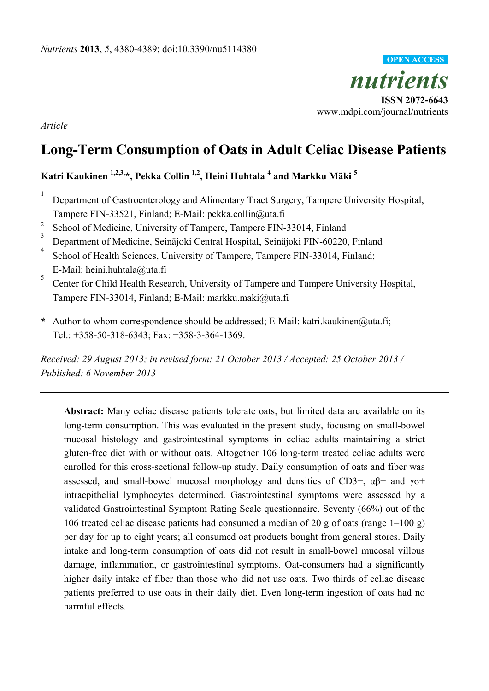

*Article* 

# **Long-Term Consumption of Oats in Adult Celiac Disease Patients**

# **Katri Kaukinen 1,2,3,\*, Pekka Collin 1,2, Heini Huhtala 4 and Markku Mäki 5**

- 1 Department of Gastroenterology and Alimentary Tract Surgery, Tampere University Hospital, Tampere FIN-33521, Finland; E-Mail: pekka.collin@uta.fi
- <sup>2</sup> School of Medicine, University of Tampere, Tampere FIN-33014, Finland
- 3 Department of Medicine, Seinäjoki Central Hospital, Seinäjoki FIN-60220, Finland
- 4 School of Health Sciences, University of Tampere, Tampere FIN-33014, Finland; E-Mail: heini.huhtala@uta.fi
- 5 Center for Child Health Research, University of Tampere and Tampere University Hospital, Tampere FIN-33014, Finland; E-Mail: markku.maki@uta.fi
- **\*** Author to whom correspondence should be addressed; E-Mail: katri.kaukinen@uta.fi; Tel.: +358-50-318-6343; Fax: +358-3-364-1369.

*Received: 29 August 2013; in revised form: 21 October 2013 / Accepted: 25 October 2013 / Published: 6 November 2013* 

**Abstract:** Many celiac disease patients tolerate oats, but limited data are available on its long-term consumption. This was evaluated in the present study, focusing on small-bowel mucosal histology and gastrointestinal symptoms in celiac adults maintaining a strict gluten-free diet with or without oats. Altogether 106 long-term treated celiac adults were enrolled for this cross-sectional follow-up study. Daily consumption of oats and fiber was assessed, and small-bowel mucosal morphology and densities of CD3+,  $\alpha\beta$ + and  $\gamma\sigma$ + intraepithelial lymphocytes determined. Gastrointestinal symptoms were assessed by a validated Gastrointestinal Symptom Rating Scale questionnaire. Seventy (66%) out of the 106 treated celiac disease patients had consumed a median of 20 g of oats (range 1–100 g) per day for up to eight years; all consumed oat products bought from general stores. Daily intake and long-term consumption of oats did not result in small-bowel mucosal villous damage, inflammation, or gastrointestinal symptoms. Oat-consumers had a significantly higher daily intake of fiber than those who did not use oats. Two thirds of celiac disease patients preferred to use oats in their daily diet. Even long-term ingestion of oats had no harmful effects.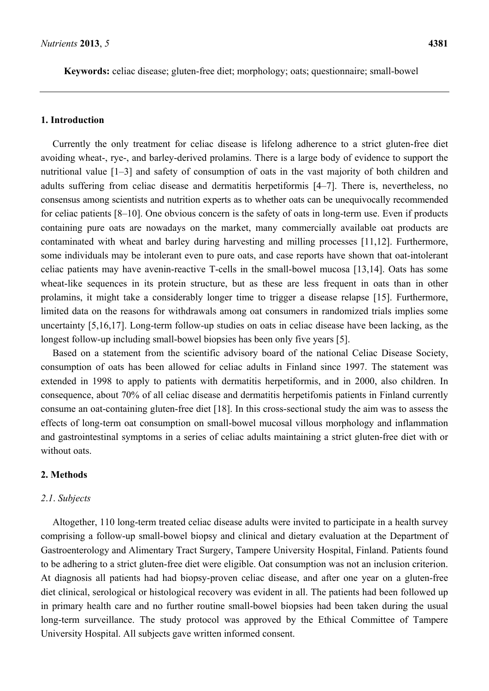**Keywords:** celiac disease; gluten-free diet; morphology; oats; questionnaire; small-bowel

### **1. Introduction**

Currently the only treatment for celiac disease is lifelong adherence to a strict gluten-free diet avoiding wheat-, rye-, and barley-derived prolamins. There is a large body of evidence to support the nutritional value [1–3] and safety of consumption of oats in the vast majority of both children and adults suffering from celiac disease and dermatitis herpetiformis [4–7]. There is, nevertheless, no consensus among scientists and nutrition experts as to whether oats can be unequivocally recommended for celiac patients [8–10]. One obvious concern is the safety of oats in long-term use. Even if products containing pure oats are nowadays on the market, many commercially available oat products are contaminated with wheat and barley during harvesting and milling processes [11,12]. Furthermore, some individuals may be intolerant even to pure oats, and case reports have shown that oat-intolerant celiac patients may have avenin-reactive T-cells in the small-bowel mucosa [13,14]. Oats has some wheat-like sequences in its protein structure, but as these are less frequent in oats than in other prolamins, it might take a considerably longer time to trigger a disease relapse [15]. Furthermore, limited data on the reasons for withdrawals among oat consumers in randomized trials implies some uncertainty [5,16,17]. Long-term follow-up studies on oats in celiac disease have been lacking, as the longest follow-up including small-bowel biopsies has been only five years [5].

Based on a statement from the scientific advisory board of the national Celiac Disease Society, consumption of oats has been allowed for celiac adults in Finland since 1997. The statement was extended in 1998 to apply to patients with dermatitis herpetiformis, and in 2000, also children. In consequence, about 70% of all celiac disease and dermatitis herpetifomis patients in Finland currently consume an oat-containing gluten-free diet [18]. In this cross-sectional study the aim was to assess the effects of long-term oat consumption on small-bowel mucosal villous morphology and inflammation and gastrointestinal symptoms in a series of celiac adults maintaining a strict gluten-free diet with or without oats.

### **2. Methods**

#### *2*.*1*. *Subjects*

Altogether, 110 long-term treated celiac disease adults were invited to participate in a health survey comprising a follow-up small-bowel biopsy and clinical and dietary evaluation at the Department of Gastroenterology and Alimentary Tract Surgery, Tampere University Hospital, Finland. Patients found to be adhering to a strict gluten-free diet were eligible. Oat consumption was not an inclusion criterion. At diagnosis all patients had had biopsy-proven celiac disease, and after one year on a gluten-free diet clinical, serological or histological recovery was evident in all. The patients had been followed up in primary health care and no further routine small-bowel biopsies had been taken during the usual long-term surveillance. The study protocol was approved by the Ethical Committee of Tampere University Hospital. All subjects gave written informed consent.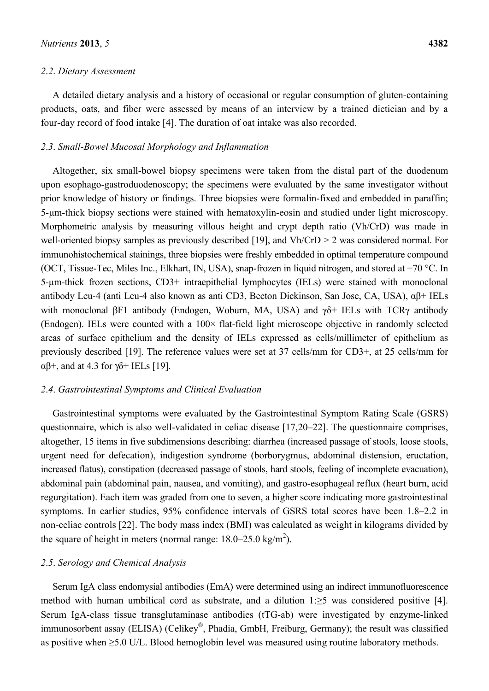### *2*.*2*. *Dietary Assessment*

A detailed dietary analysis and a history of occasional or regular consumption of gluten-containing products, oats, and fiber were assessed by means of an interview by a trained dietician and by a four-day record of food intake [4]. The duration of oat intake was also recorded.

#### *2*.*3*. *Small-Bowel Mucosal Morphology and Inflammation*

Altogether, six small-bowel biopsy specimens were taken from the distal part of the duodenum upon esophago-gastroduodenoscopy; the specimens were evaluated by the same investigator without prior knowledge of history or findings. Three biopsies were formalin-fixed and embedded in paraffin; 5-μm-thick biopsy sections were stained with hematoxylin-eosin and studied under light microscopy. Morphometric analysis by measuring villous height and crypt depth ratio (Vh/CrD) was made in well-oriented biopsy samples as previously described [19], and Vh/CrD > 2 was considered normal. For immunohistochemical stainings, three biopsies were freshly embedded in optimal temperature compound (OCT, Tissue-Tec, Miles Inc., Elkhart, IN, USA), snap-frozen in liquid nitrogen, and stored at −70 °C. In 5-μm-thick frozen sections, CD3+ intraepithelial lymphocytes (IELs) were stained with monoclonal antibody Leu-4 (anti Leu-4 also known as anti CD3, Becton Dickinson, San Jose, CA, USA), αβ+ IELs with monoclonal βF1 antibody (Endogen, Woburn, MA, USA) and γδ+ IELs with TCRγ antibody (Endogen). IELs were counted with a  $100\times$  flat-field light microscope objective in randomly selected areas of surface epithelium and the density of IELs expressed as cells/millimeter of epithelium as previously described [19]. The reference values were set at 37 cells/mm for CD3+, at 25 cells/mm for αβ+, and at 4.3 for γδ+ IELs [19].

## *2*.*4*. *Gastrointestinal Symptoms and Clinical Evaluation*

Gastrointestinal symptoms were evaluated by the Gastrointestinal Symptom Rating Scale (GSRS) questionnaire, which is also well-validated in celiac disease [17,20–22]. The questionnaire comprises, altogether, 15 items in five subdimensions describing: diarrhea (increased passage of stools, loose stools, urgent need for defecation), indigestion syndrome (borborygmus, abdominal distension, eructation, increased flatus), constipation (decreased passage of stools, hard stools, feeling of incomplete evacuation), abdominal pain (abdominal pain, nausea, and vomiting), and gastro-esophageal reflux (heart burn, acid regurgitation). Each item was graded from one to seven, a higher score indicating more gastrointestinal symptoms. In earlier studies, 95% confidence intervals of GSRS total scores have been 1.8–2.2 in non-celiac controls [22]. The body mass index (BMI) was calculated as weight in kilograms divided by the square of height in meters (normal range:  $18.0 - 25.0 \text{ kg/m}^2$ ).

# *2*.*5*. *Serology and Chemical Analysis*

Serum IgA class endomysial antibodies (EmA) were determined using an indirect immunofluorescence method with human umbilical cord as substrate, and a dilution 1:≥5 was considered positive [4]. Serum IgA-class tissue transglutaminase antibodies (tTG-ab) were investigated by enzyme-linked immunosorbent assay (ELISA) (Celikey®, Phadia, GmbH, Freiburg, Germany); the result was classified as positive when ≥5.0 U/L. Blood hemoglobin level was measured using routine laboratory methods.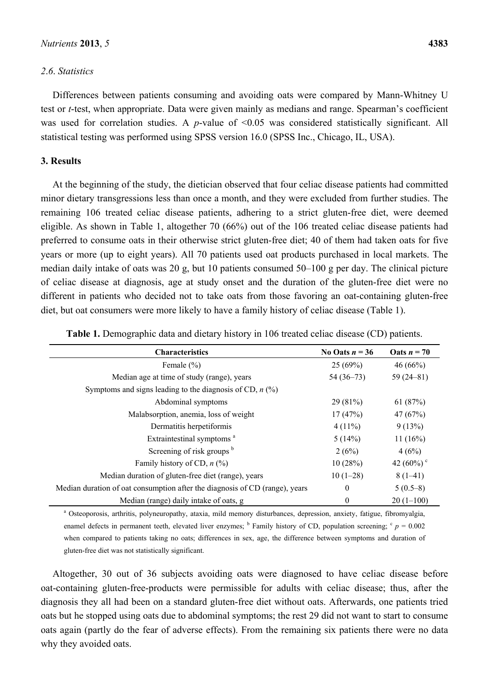# *2*.*6*. *Statistics*

Differences between patients consuming and avoiding oats were compared by Mann-Whitney U test or *t*-test, when appropriate. Data were given mainly as medians and range. Spearman's coefficient was used for correlation studies. A *p*-value of <0.05 was considered statistically significant. All statistical testing was performed using SPSS version 16.0 (SPSS Inc., Chicago, IL, USA).

# **3. Results**

At the beginning of the study, the dietician observed that four celiac disease patients had committed minor dietary transgressions less than once a month, and they were excluded from further studies. The remaining 106 treated celiac disease patients, adhering to a strict gluten-free diet, were deemed eligible. As shown in Table 1, altogether 70 (66%) out of the 106 treated celiac disease patients had preferred to consume oats in their otherwise strict gluten-free diet; 40 of them had taken oats for five years or more (up to eight years). All 70 patients used oat products purchased in local markets. The median daily intake of oats was 20 g, but 10 patients consumed 50–100 g per day. The clinical picture of celiac disease at diagnosis, age at study onset and the duration of the gluten-free diet were no different in patients who decided not to take oats from those favoring an oat-containing gluten-free diet, but oat consumers were more likely to have a family history of celiac disease (Table 1).

| <b>Characteristics</b>                                                      | No Oats $n = 36$ | Oats $n = 70$      |
|-----------------------------------------------------------------------------|------------------|--------------------|
| Female $(\% )$                                                              | 25(69%)          | 46(66%)            |
| Median age at time of study (range), years                                  | $54(36-73)$      | $59(24-81)$        |
| Symptoms and signs leading to the diagnosis of CD, $n$ (%)                  |                  |                    |
| Abdominal symptoms                                                          | 29(81%)          | 61 $(87%)$         |
| Malabsorption, anemia, loss of weight                                       | 17(47%)          | 47(67%)            |
| Dermatitis herpetiformis                                                    | $4(11\%)$        | 9(13%)             |
| Extraintestinal symptoms <sup>a</sup>                                       | 5(14%)           | 11(16%)            |
| Screening of risk groups b                                                  | 2(6%)            | 4(6%)              |
| Family history of CD, $n$ (%)                                               | 10(28%)          | 42 (60%) $\degree$ |
| Median duration of gluten-free diet (range), years                          | $10(1-28)$       | $8(1-41)$          |
| Median duration of oat consumption after the diagnosis of CD (range), years | 0                | $5(0.5-8)$         |
| Median (range) daily intake of oats, g                                      | 0                | $20(1-100)$        |

**Table 1.** Demographic data and dietary history in 106 treated celiac disease (CD) patients.

a Osteoporosis, arthritis, polyneuropathy, ataxia, mild memory disturbances, depression, anxiety, fatigue, fibromyalgia, enamel defects in permanent teeth, elevated liver enzymes;  $\frac{b}{c}$  Family history of CD, population screening;  $\frac{c}{p} = 0.002$ when compared to patients taking no oats; differences in sex, age, the difference between symptoms and duration of gluten-free diet was not statistically significant.

Altogether, 30 out of 36 subjects avoiding oats were diagnosed to have celiac disease before oat-containing gluten-free-products were permissible for adults with celiac disease; thus, after the diagnosis they all had been on a standard gluten-free diet without oats. Afterwards, one patients tried oats but he stopped using oats due to abdominal symptoms; the rest 29 did not want to start to consume oats again (partly do the fear of adverse effects). From the remaining six patients there were no data why they avoided oats.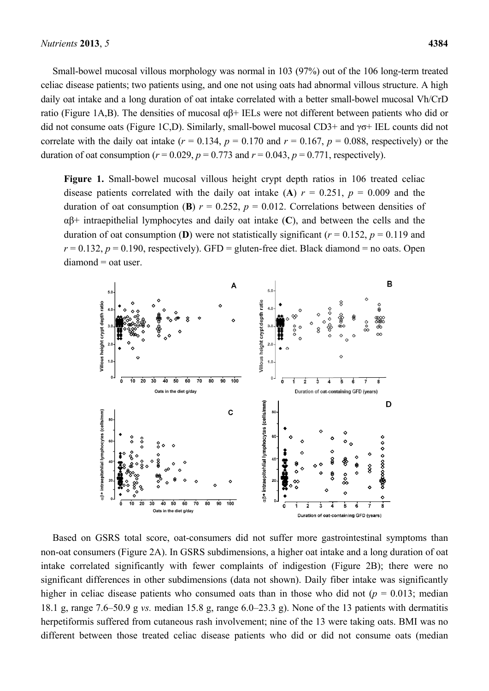Small-bowel mucosal villous morphology was normal in 103 (97%) out of the 106 long-term treated celiac disease patients; two patients using, and one not using oats had abnormal villous structure. A high daily oat intake and a long duration of oat intake correlated with a better small-bowel mucosal Vh/CrD ratio (Figure 1A,B). The densities of mucosal αβ+ IELs were not different between patients who did or did not consume oats (Figure 1C,D). Similarly, small-bowel mucosal CD3+ and γσ+ IEL counts did not correlate with the daily oat intake  $(r = 0.134, p = 0.170$  and  $r = 0.167, p = 0.088$ , respectively) or the duration of oat consumption ( $r = 0.029$ ,  $p = 0.773$  and  $r = 0.043$ ,  $p = 0.771$ , respectively).

**Figure 1.** Small-bowel mucosal villous height crypt depth ratios in 106 treated celiac disease patients correlated with the daily oat intake (A)  $r = 0.251$ ,  $p = 0.009$  and the duration of oat consumption (**B**)  $r = 0.252$ ,  $p = 0.012$ . Correlations between densities of αβ+ intraepithelial lymphocytes and daily oat intake (**C**), and between the cells and the duration of oat consumption (**D**) were not statistically significant ( $r = 0.152$ ,  $p = 0.119$  and  $r = 0.132$ ,  $p = 0.190$ , respectively). GFD = gluten-free diet. Black diamond = no oats. Open  $diamond = oat$  user.



Based on GSRS total score, oat-consumers did not suffer more gastrointestinal symptoms than non-oat consumers (Figure 2A). In GSRS subdimensions, a higher oat intake and a long duration of oat intake correlated significantly with fewer complaints of indigestion (Figure 2B); there were no significant differences in other subdimensions (data not shown). Daily fiber intake was significantly higher in celiac disease patients who consumed oats than in those who did not ( $p = 0.013$ ; median 18.1 g, range 7.6–50.9 g *vs.* median 15.8 g, range 6.0–23.3 g). None of the 13 patients with dermatitis herpetiformis suffered from cutaneous rash involvement; nine of the 13 were taking oats. BMI was no different between those treated celiac disease patients who did or did not consume oats (median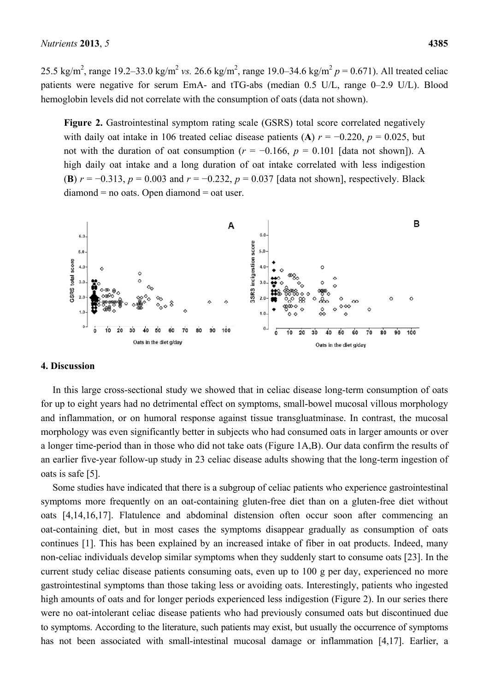25.5 kg/m<sup>2</sup>, range 19.2–33.0 kg/m<sup>2</sup> vs. 26.6 kg/m<sup>2</sup>, range 19.0–34.6 kg/m<sup>2</sup>  $p = 0.671$ ). All treated celiac patients were negative for serum EmA- and tTG-abs (median 0.5 U/L, range 0–2.9 U/L). Blood hemoglobin levels did not correlate with the consumption of oats (data not shown).

**Figure 2.** Gastrointestinal symptom rating scale (GSRS) total score correlated negatively with daily oat intake in 106 treated celiac disease patients (A)  $r = -0.220$ ,  $p = 0.025$ , but not with the duration of oat consumption ( $r = -0.166$ ,  $p = 0.101$  [data not shown]). A high daily oat intake and a long duration of oat intake correlated with less indigestion (**B**)  $r = -0.313$ ,  $p = 0.003$  and  $r = -0.232$ ,  $p = 0.037$  [data not shown], respectively. Black diamond = no oats. Open diamond = oat user.



#### **4. Discussion**

In this large cross-sectional study we showed that in celiac disease long-term consumption of oats for up to eight years had no detrimental effect on symptoms, small-bowel mucosal villous morphology and inflammation, or on humoral response against tissue transgluatminase. In contrast, the mucosal morphology was even significantly better in subjects who had consumed oats in larger amounts or over a longer time-period than in those who did not take oats (Figure 1A,B). Our data confirm the results of an earlier five-year follow-up study in 23 celiac disease adults showing that the long-term ingestion of oats is safe [5].

Some studies have indicated that there is a subgroup of celiac patients who experience gastrointestinal symptoms more frequently on an oat-containing gluten-free diet than on a gluten-free diet without oats [4,14,16,17]. Flatulence and abdominal distension often occur soon after commencing an oat-containing diet, but in most cases the symptoms disappear gradually as consumption of oats continues [1]. This has been explained by an increased intake of fiber in oat products. Indeed, many non-celiac individuals develop similar symptoms when they suddenly start to consume oats [23]. In the current study celiac disease patients consuming oats, even up to 100 g per day, experienced no more gastrointestinal symptoms than those taking less or avoiding oats. Interestingly, patients who ingested high amounts of oats and for longer periods experienced less indigestion (Figure 2). In our series there were no oat-intolerant celiac disease patients who had previously consumed oats but discontinued due to symptoms. According to the literature, such patients may exist, but usually the occurrence of symptoms has not been associated with small-intestinal mucosal damage or inflammation [4,17]. Earlier, a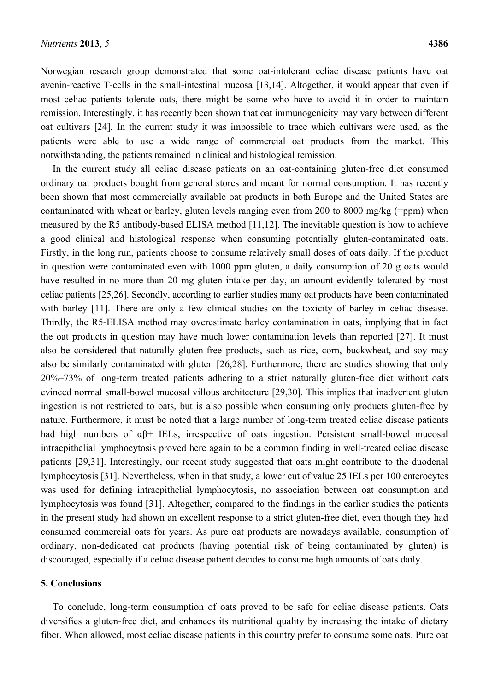Norwegian research group demonstrated that some oat-intolerant celiac disease patients have oat avenin-reactive T-cells in the small-intestinal mucosa [13,14]. Altogether, it would appear that even if most celiac patients tolerate oats, there might be some who have to avoid it in order to maintain remission. Interestingly, it has recently been shown that oat immunogenicity may vary between different oat cultivars [24]. In the current study it was impossible to trace which cultivars were used, as the patients were able to use a wide range of commercial oat products from the market. This notwithstanding, the patients remained in clinical and histological remission.

In the current study all celiac disease patients on an oat-containing gluten-free diet consumed ordinary oat products bought from general stores and meant for normal consumption. It has recently been shown that most commercially available oat products in both Europe and the United States are contaminated with wheat or barley, gluten levels ranging even from 200 to 8000 mg/kg (=ppm) when measured by the R5 antibody-based ELISA method [11,12]. The inevitable question is how to achieve a good clinical and histological response when consuming potentially gluten-contaminated oats. Firstly, in the long run, patients choose to consume relatively small doses of oats daily. If the product in question were contaminated even with 1000 ppm gluten, a daily consumption of 20 g oats would have resulted in no more than 20 mg gluten intake per day, an amount evidently tolerated by most celiac patients [25,26]. Secondly, according to earlier studies many oat products have been contaminated with barley [11]. There are only a few clinical studies on the toxicity of barley in celiac disease. Thirdly, the R5-ELISA method may overestimate barley contamination in oats, implying that in fact the oat products in question may have much lower contamination levels than reported [27]. It must also be considered that naturally gluten-free products, such as rice, corn, buckwheat, and soy may also be similarly contaminated with gluten [26,28]. Furthermore, there are studies showing that only 20%–73% of long-term treated patients adhering to a strict naturally gluten-free diet without oats evinced normal small-bowel mucosal villous architecture [29,30]. This implies that inadvertent gluten ingestion is not restricted to oats, but is also possible when consuming only products gluten-free by nature. Furthermore, it must be noted that a large number of long-term treated celiac disease patients had high numbers of αβ+ IELs, irrespective of oats ingestion. Persistent small-bowel mucosal intraepithelial lymphocytosis proved here again to be a common finding in well-treated celiac disease patients [29,31]. Interestingly, our recent study suggested that oats might contribute to the duodenal lymphocytosis [31]. Nevertheless, when in that study, a lower cut of value 25 IELs per 100 enterocytes was used for defining intraepithelial lymphocytosis, no association between oat consumption and lymphocytosis was found [31]. Altogether, compared to the findings in the earlier studies the patients in the present study had shown an excellent response to a strict gluten-free diet, even though they had consumed commercial oats for years. As pure oat products are nowadays available, consumption of ordinary, non-dedicated oat products (having potential risk of being contaminated by gluten) is discouraged, especially if a celiac disease patient decides to consume high amounts of oats daily.

### **5. Conclusions**

To conclude, long-term consumption of oats proved to be safe for celiac disease patients. Oats diversifies a gluten-free diet, and enhances its nutritional quality by increasing the intake of dietary fiber. When allowed, most celiac disease patients in this country prefer to consume some oats. Pure oat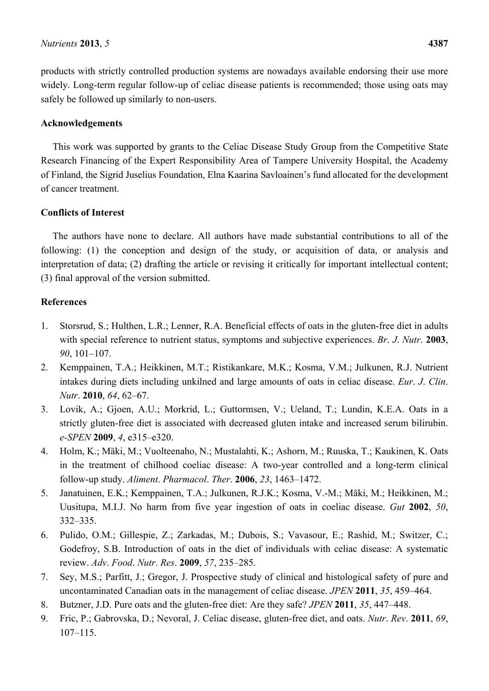products with strictly controlled production systems are nowadays available endorsing their use more widely. Long-term regular follow-up of celiac disease patients is recommended; those using oats may safely be followed up similarly to non-users.

# **Acknowledgements**

This work was supported by grants to the Celiac Disease Study Group from the Competitive State Research Financing of the Expert Responsibility Area of Tampere University Hospital, the Academy of Finland, the Sigrid Juselius Foundation, Elna Kaarina Savloainen's fund allocated for the development of cancer treatment.

# **Conflicts of Interest**

The authors have none to declare. All authors have made substantial contributions to all of the following: (1) the conception and design of the study, or acquisition of data, or analysis and interpretation of data; (2) drafting the article or revising it critically for important intellectual content; (3) final approval of the version submitted.

# **References**

- 1. Storsrud, S.; Hulthen, L.R.; Lenner, R.A. Beneficial effects of oats in the gluten-free diet in adults with special reference to nutrient status, symptoms and subjective experiences. *Br*. *J*. *Nutr*. **2003**, *90*, 101–107.
- 2. Kemppainen, T.A.; Heikkinen, M.T.; Ristikankare, M.K.; Kosma, V.M.; Julkunen, R.J. Nutrient intakes during diets including unkilned and large amounts of oats in celiac disease. *Eur*. *J*. *Clin*. *Nutr*. **2010**, *64*, 62–67.
- 3. Lovik, A.; Gjoen, A.U.; Morkrid, L.; Guttormsen, V.; Ueland, T.; Lundin, K.E.A. Oats in a strictly gluten-free diet is associated with decreased gluten intake and increased serum bilirubin. *e-SPEN* **2009**, *4*, e315–e320.
- 4. Holm, K.; Mäki, M.; Vuolteenaho, N.; Mustalahti, K.; Ashorn, M.; Ruuska, T.; Kaukinen, K. Oats in the treatment of chilhood coeliac disease: A two-year controlled and a long-term clinical follow-up study. *Aliment*. *Pharmacol*. *Ther*. **2006**, *23*, 1463–1472.
- 5. Janatuinen, E.K.; Kemppainen, T.A.; Julkunen, R.J.K.; Kosma, V.-M.; Mäki, M.; Heikkinen, M.; Uusitupa, M.I.J. No harm from five year ingestion of oats in coeliac disease. *Gut* **2002**, *50*, 332–335.
- 6. Pulido, O.M.; Gillespie, Z.; Zarkadas, M.; Dubois, S.; Vavasour, E.; Rashid, M.; Switzer, C.; Godefroy, S.B. Introduction of oats in the diet of individuals with celiac disease: A systematic review. *Adv*. *Food*. *Nutr*. *Res*. **2009**, *57*, 235–285.
- 7. Sey, M.S.; Parfitt, J.; Gregor, J. Prospective study of clinical and histological safety of pure and uncontaminated Canadian oats in the management of celiac disease. *JPEN* **2011**, *35*, 459–464.
- 8. Butzner, J.D. Pure oats and the gluten-free diet: Are they safe? *JPEN* **2011**, *35*, 447–448.
- 9. Fric, P.; Gabrovska, D.; Nevoral, J. Celiac disease, gluten-free diet, and oats. *Nutr*. *Rev*. **2011**, *69*, 107–115.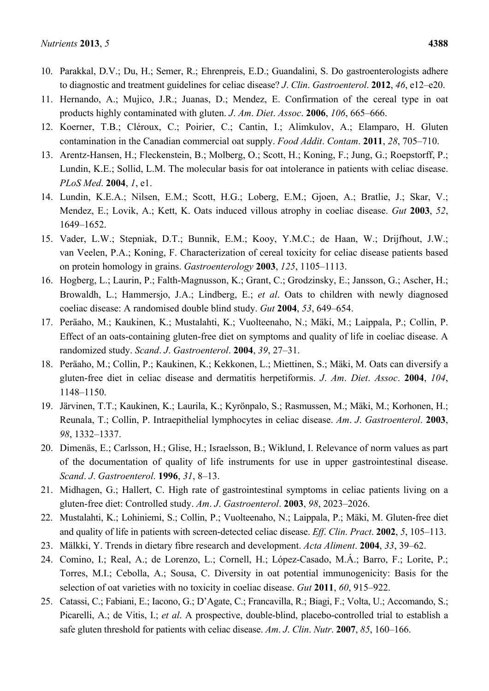- 10. Parakkal, D.V.; Du, H.; Semer, R.; Ehrenpreis, E.D.; Guandalini, S. Do gastroenterologists adhere to diagnostic and treatment guidelines for celiac disease? *J*. *Clin*. *Gastroenterol*. **2012**, *46*, e12–e20.
- 11. Hernando, A.; Mujico, J.R.; Juanas, D.; Mendez, E. Confirmation of the cereal type in oat products highly contaminated with gluten. *J*. *Am*. *Diet*. *Assoc*. **2006**, *106*, 665–666.
- 12. Koerner, T.B.; Cléroux, C.; Poirier, C.; Cantin, I.; Alimkulov, A.; Elamparo, H. Gluten contamination in the Canadian commercial oat supply. *Food Addit*. *Contam*. **2011**, *28*, 705–710.
- 13. Arentz-Hansen, H.; Fleckenstein, B.; Molberg, O.; Scott, H.; Koning, F.; Jung, G.; Roepstorff, P.; Lundin, K.E.; Sollid, L.M. The molecular basis for oat intolerance in patients with celiac disease. *PLoS Med*. **2004**, *1*, e1.
- 14. Lundin, K.E.A.; Nilsen, E.M.; Scott, H.G.; Loberg, E.M.; Gjoen, A.; Bratlie, J.; Skar, V.; Mendez, E.; Lovik, A.; Kett, K. Oats induced villous atrophy in coeliac disease. *Gut* **2003**, *52*, 1649–1652.
- 15. Vader, L.W.; Stepniak, D.T.; Bunnik, E.M.; Kooy, Y.M.C.; de Haan, W.; Drijfhout, J.W.; van Veelen, P.A.; Koning, F. Characterization of cereal toxicity for celiac disease patients based on protein homology in grains. *Gastroenterology* **2003**, *125*, 1105–1113.
- 16. Hogberg, L.; Laurin, P.; Falth-Magnusson, K.; Grant, C.; Grodzinsky, E.; Jansson, G.; Ascher, H.; Browaldh, L.; Hammersjo, J.A.; Lindberg, E.; *et al*. Oats to children with newly diagnosed coeliac disease: A randomised double blind study. *Gut* **2004**, *53*, 649–654.
- 17. Peräaho, M.; Kaukinen, K.; Mustalahti, K.; Vuolteenaho, N.; Mäki, M.; Laippala, P.; Collin, P. Effect of an oats-containing gluten-free diet on symptoms and quality of life in coeliac disease. A randomized study. *Scand*. *J*. *Gastroenterol*. **2004**, *39*, 27–31.
- 18. Peräaho, M.; Collin, P.; Kaukinen, K.; Kekkonen, L.; Miettinen, S.; Mäki, M. Oats can diversify a gluten-free diet in celiac disease and dermatitis herpetiformis. *J*. *Am*. *Diet*. *Assoc*. **2004**, *104*, 1148–1150.
- 19. Järvinen, T.T.; Kaukinen, K.; Laurila, K.; Kyrönpalo, S.; Rasmussen, M.; Mäki, M.; Korhonen, H.; Reunala, T.; Collin, P. Intraepithelial lymphocytes in celiac disease. *Am*. *J*. *Gastroenterol*. **2003**, *98*, 1332–1337.
- 20. Dimenäs, E.; Carlsson, H.; Glise, H.; Israelsson, B.; Wiklund, I. Relevance of norm values as part of the documentation of quality of life instruments for use in upper gastrointestinal disease. *Scand*. *J*. *Gastroenterol*. **1996**, *31*, 8–13.
- 21. Midhagen, G.; Hallert, C. High rate of gastrointestinal symptoms in celiac patients living on a gluten-free diet: Controlled study. *Am*. *J*. *Gastroenterol*. **2003**, *98*, 2023–2026.
- 22. Mustalahti, K.; Lohiniemi, S.; Collin, P.; Vuolteenaho, N.; Laippala, P.; Mäki, M. Gluten-free diet and quality of life in patients with screen-detected celiac disease. *Eff*. *Clin*. *Pract*. **2002**, *5*, 105–113.
- 23. Mälkki, Y. Trends in dietary fibre research and development. *Acta Aliment*. **2004**, *33*, 39–62.
- 24. Comino, I.; Real, A.; de Lorenzo, L.; Cornell, H.; López-Casado, M.Á.; Barro, F.; Lorite, P.; Torres, M.I.; Cebolla, A.; Sousa, C. Diversity in oat potential immunogenicity: Basis for the selection of oat varieties with no toxicity in coeliac disease. *Gut* **2011**, *60*, 915–922.
- 25. Catassi, C.; Fabiani, E.; Iacono, G.; D'Agate, C.; Francavilla, R.; Biagi, F.; Volta, U.; Accomando, S.; Picarelli, A.; de Vitis, I.; *et al*. A prospective, double-blind, placebo-controlled trial to establish a safe gluten threshold for patients with celiac disease. *Am*. *J*. *Clin*. *Nutr*. **2007**, *85*, 160–166.